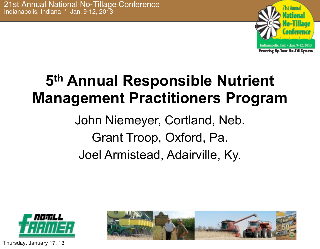

# **5th Annual Responsible Nutrient Management Practitioners Program**

John Niemeyer, Cortland, Neb. Grant Troop, Oxford, Pa. Joel Armistead, Adairville, Ky.



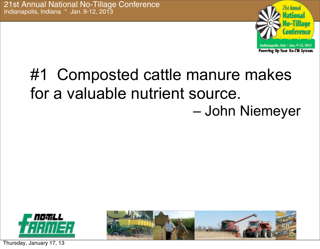

### #1 Composted cattle manure makes for a valuable nutrient source. – John Niemeyer



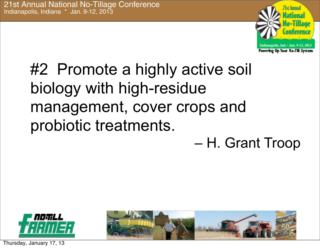

# #2 Promote a highly active soil biology with high-residue management, cover crops and probiotic treatments.

– H. Grant Troop



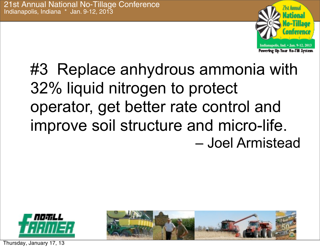

# #3 Replace anhydrous ammonia with 32% liquid nitrogen to protect operator, get better rate control and improve soil structure and micro-life. – Joel Armistead



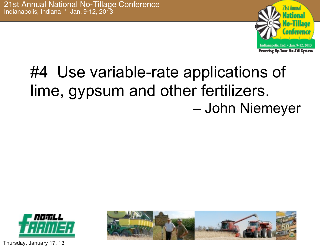

# #4 Use variable-rate applications of lime, gypsum and other fertilizers. – John Niemeyer



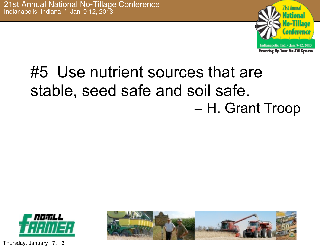

# #5 Use nutrient sources that are stable, seed safe and soil safe. – H. Grant Troop



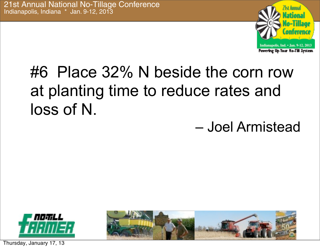

# #6 Place 32% N beside the corn row at planting time to reduce rates and loss of N.

– Joel Armistead

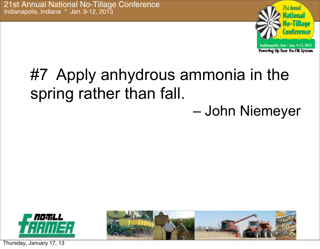

#### #7 Apply anhydrous ammonia in the spring rather than fall. – John Niemeyer



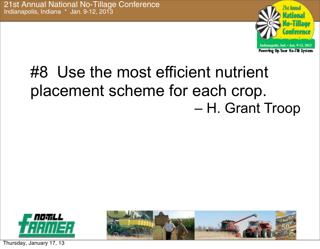

# #8 Use the most efficient nutrient placement scheme for each crop. – H. Grant Troop



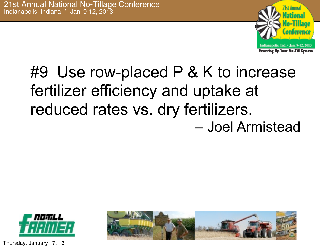

## #9 Use row-placed P & K to increase fertilizer efficiency and uptake at reduced rates vs. dry fertilizers. – Joel Armistead



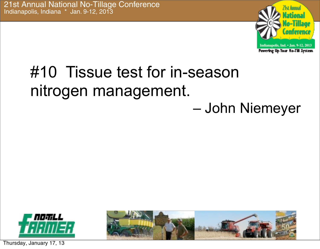

#### #10 Tissue test for in-season nitrogen management. – John Niemeyer



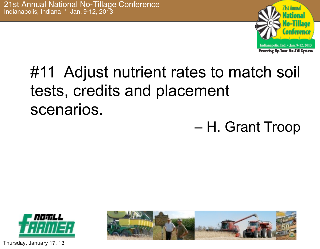

# #11 Adjust nutrient rates to match soil tests, credits and placement scenarios.

– H. Grant Troop



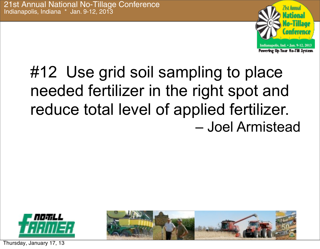

# #12 Use grid soil sampling to place needed fertilizer in the right spot and reduce total level of applied fertilizer. – Joel Armistead



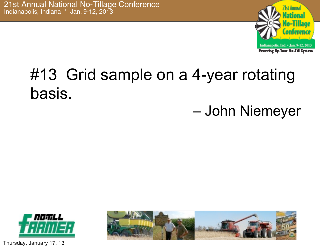

# #13 Grid sample on a 4-year rotating basis.

#### – John Niemeyer



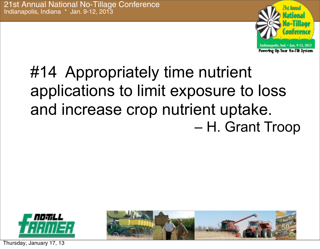

# #14 Appropriately time nutrient applications to limit exposure to loss and increase crop nutrient uptake. – H. Grant Troop



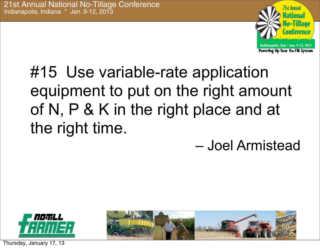

# #15 Use variable-rate application equipment to put on the right amount of N, P & K in the right place and at the right time.

– Joel Armistead



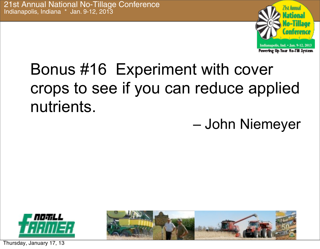

# Bonus #16 Experiment with cover crops to see if you can reduce applied nutrients.

– John Niemeyer